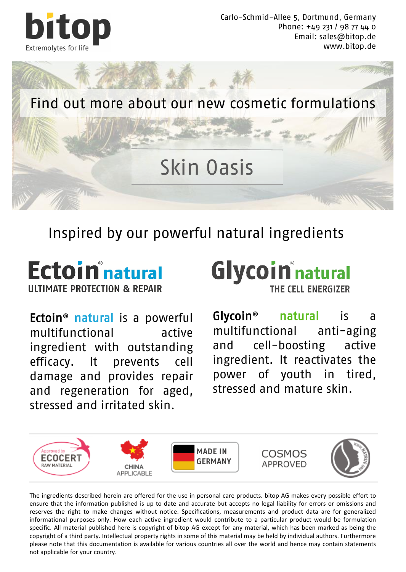

Carlo-Schmid-Allee 5, Dortmund, Germany Phone: +49 231 / 98 77 44 0 Email: sales@bitop.de www.bitop.de



### Inspired by our powerful natural ingredients

#### **Ectoin**<sup>n</sup> natural **IIITIMATE PROTECTION & REPAIR**

Ectoin**®** natural is a powerful multifunctional active ingredient with outstanding efficacy. It prevents cell damage and provides repair and regeneration for aged, stressed and irritated skin.



Glycoin**®** natural is a multifunctional anti-aging and cell-boosting active ingredient. It reactivates the power of youth in tired, stressed and mature skin.



The ingredients described herein are offered for the use in personal care products. bitop AG makes every possible effort to ensure that the information published is up to date and accurate but accepts no legal liability for errors or omissions and reserves the right to make changes without notice. Specifications, measurements and product data are for generalized informational purposes only. How each active ingredient would contribute to a particular product would be formulation specific. All material published here is copyright of bitop AG except for any material, which has been marked as being the copyright of a third party. Intellectual property rights in some of this material may be held by individual authors. Furthermore please note that this documentation is available for various countries all over the world and hence may contain statements not applicable for your country.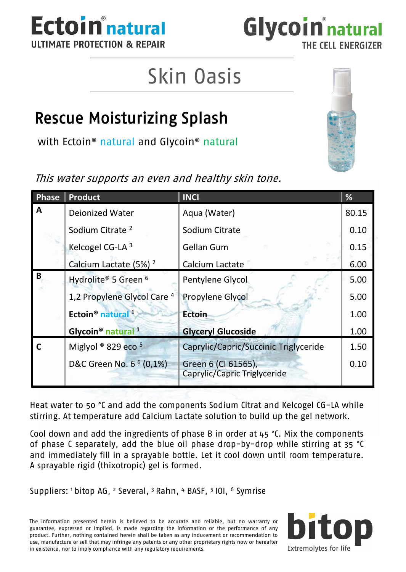



# Skin Oasis

### Rescue Moisturizing Splash

with Ectoin® natural and Glycoin® natural

This water supports an even and healthy skin tone.

| Phase | Product                                   | <b>INCI</b>                                         | %     |
|-------|-------------------------------------------|-----------------------------------------------------|-------|
| A     | Deionized Water                           | Agua (Water)                                        | 80.15 |
|       | Sodium Citrate <sup>2</sup>               | Sodium Citrate                                      | 0.10  |
|       | Kelcogel CG-LA 3                          | Gellan Gum                                          | 0.15  |
|       | Calcium Lactate (5%) <sup>2</sup>         | Calcium Lactate                                     | 6.00  |
| В     | Hydrolite® 5 Green <sup>6</sup>           | Pentylene Glycol                                    | 5.00  |
|       | 1,2 Propylene Glycol Care 4               | Propylene Glycol                                    | 5.00  |
|       | Ectoin <sup>®</sup> natural <sup>1</sup>  | <b>Ectoin</b>                                       | 1.00  |
|       | Glycoin <sup>®</sup> natural <sup>1</sup> | <b>Glyceryl Glucoside</b>                           | 1.00  |
|       | Miglyol ® 829 eco 5                       | Caprylic/Capric/Succinic Triglyceride               | 1.50  |
|       | D&C Green No. 6 <sup>6</sup> (0,1%)       | Green 6 (CI 61565),<br>Caprylic/Capric Triglyceride | 0.10  |

Heat water to 50 °C and add the components Sodium Citrat and Kelcogel CG-LA while stirring. At temperature add Calcium Lactate solution to build up the gel network.

Cool down and add the ingredients of phase B in order at  $45$  °C. Mix the components of phase C separately, add the blue oil phase drop-by-drop while stirring at 35 °C and immediately fill in a sprayable bottle. Let it cool down until room temperature. A sprayable rigid (thixotropic) gel is formed.

Suppliers: <sup>1</sup>bitop AG, <sup>2</sup> Several, <sup>3</sup>Rahn, <sup>4</sup> BASF, <sup>5</sup>IOI, <sup>6</sup> Symrise

The information presented herein is believed to be accurate and reliable, but no warranty or guarantee, expressed or implied, is made regarding the information or the performance of any product. Further, nothing contained herein shall be taken as any inducement or recommendation to use, manufacture or sell that may infringe any patents or any other proprietary rights now or hereafter in existence, nor to imply compliance with any regulatory requirements.



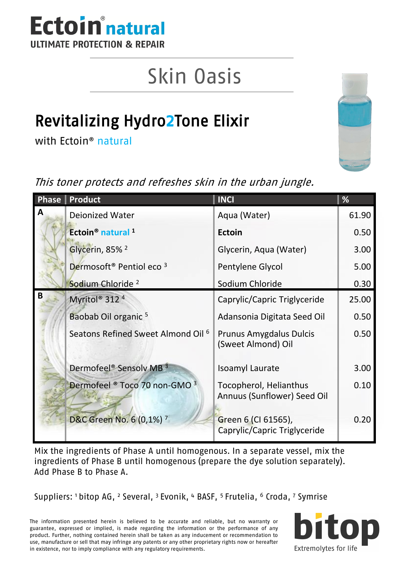

# Skin Oasis

## Revitalizing Hydro2Tone Elixir

with Ectoin® natural



This toner protects and refreshes skin in the urban jungle.

|   | Phase   Product                                 | <b>INCI</b>                                           | %     |
|---|-------------------------------------------------|-------------------------------------------------------|-------|
| A | Dejonized Water                                 | Aqua (Water)                                          | 61.90 |
|   | Ectoin <sup>®</sup> natural <sup>1</sup>        | Ectoin                                                | 0.50  |
|   | Glycerin, 85% <sup>2</sup>                      | Glycerin, Agua (Water)                                | 3.00  |
|   | Dermosoft <sup>®</sup> Pentiol eco <sup>3</sup> | Pentylene Glycol                                      | 5.00  |
|   | Sodium Chloride <sup>2</sup>                    | Sodium Chloride                                       | 0.30  |
| B | Myritol <sup>®</sup> 312 <sup>4</sup>           | Caprylic/Capric Triglyceride                          | 25.00 |
|   | Baobab Oil organic <sup>5</sup>                 | Adansonia Digitata Seed Oil                           | 0.50  |
|   | Seatons Refined Sweet Almond Oil <sup>6</sup>   | Prunus Amygdalus Dulcis<br>(Sweet Almond) Oil         | 0.50  |
|   | Dermofeel <sup>®</sup> Sensolv MB <sup>3</sup>  | Isoamyl Laurate                                       | 3.00  |
|   | Dermofeel ® Toco 70 non-GMO 3                   | Tocopherol, Helianthus<br>Annuus (Sunflower) Seed Oil | 0.10  |
|   | D&C Green No. 6 (0,1%) 7                        | Green 6 (CI 61565),<br>Caprylic/Capric Triglyceride   | 0.20  |

Mix the ingredients of Phase A until homogenous. In a separate vessel, mix the ingredients of Phase B until homogenous (prepare the dye solution separately). Add Phase B to Phase A.

Suppliers: 1 bitop AG, 2 Several, 3 Evonik, 4 BASF, 5 Frutelia, 6 Croda, 7 Symrise

The information presented herein is believed to be accurate and reliable, but no warranty or guarantee, expressed or implied, is made regarding the information or the performance of any product. Further, nothing contained herein shall be taken as any inducement or recommendation to use, manufacture or sell that may infringe any patents or any other proprietary rights now or hereafter in existence, nor to imply compliance with any regulatory requirements.